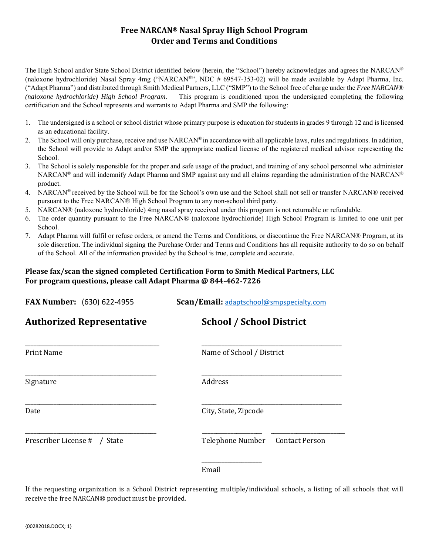# **Free NARCAN® Nasal Spray High School Program Order and Terms and Conditions**

The High School and/or State School District identified below (herein, the "School") hereby acknowledges and agrees the NARCAN® (naloxone hydrochloride) Nasal Spray 4mg ("NARCAN®", NDC # 69547-353-02) will be made available by Adapt Pharma, Inc. ("Adapt Pharma") and distributed through Smith Medical Partners, LLC ("SMP") to the School free of charge under the *Free NARCAN® (naloxone hydrochloride) High School Program*. This program is conditioned upon the undersigned completing the following certification and the School represents and warrants to Adapt Pharma and SMP the following:

- 1. The undersigned is a school or school district whose primary purpose is education for students in grades 9 through 12 and is licensed as an educational facility.
- 2. The School will only purchase, receive and use  $NARCAN^®$  in accordance with all applicable laws, rules and regulations. In addition, the School will provide to Adapt and/or SMP the appropriate medical license of the registered medical advisor representing the School.
- 3. The School is solely responsible for the proper and safe usage of the product, and training of any school personnel who administer NARCAN® and will indemnify Adapt Pharma and SMP against any and all claims regarding the administration of the NARCAN® product.
- 4. NARCAN<sup>®</sup> received by the School will be for the School's own use and the School shall not sell or transfer NARCAN® received pursuant to the Free NARCAN® High School Program to any non-school third party.
- 5. NARCAN® (naloxone hydrochloride) 4mg nasal spray received under this program is not returnable or refundable.
- 6. The order quantity pursuant to the Free NARCAN® (naloxone hydrochloride) High School Program is limited to one unit per School.
- 7. Adapt Pharma will fulfil or refuse orders, or amend the Terms and Conditions, or discontinue the Free NARCAN® Program, at its sole discretion. The individual signing the Purchase Order and Terms and Conditions has all requisite authority to do so on behalf of the School. All of the information provided by the School is true, complete and accurate.

## **Please fax/scan the signed completed Certification Form to Smith Medical Partners, LLC For program questions, please call Adapt Pharma @ 844-462-7226**

| <b>FAX Number:</b> (630) 622-4955 | Scan/Email: adaptschool@smpspecialty.com  |
|-----------------------------------|-------------------------------------------|
| <b>Authorized Representative</b>  | <b>School / School District</b>           |
| <b>Print Name</b>                 | Name of School / District                 |
| Signature                         | Address                                   |
| Date                              | City, State, Zipcode                      |
| Prescriber License # / State      | Telephone Number<br><b>Contact Person</b> |
|                                   |                                           |

If the requesting organization is a School District representing multiple/individual schools, a listing of all schools that will receive the free NARCAN® product must be provided.

Email